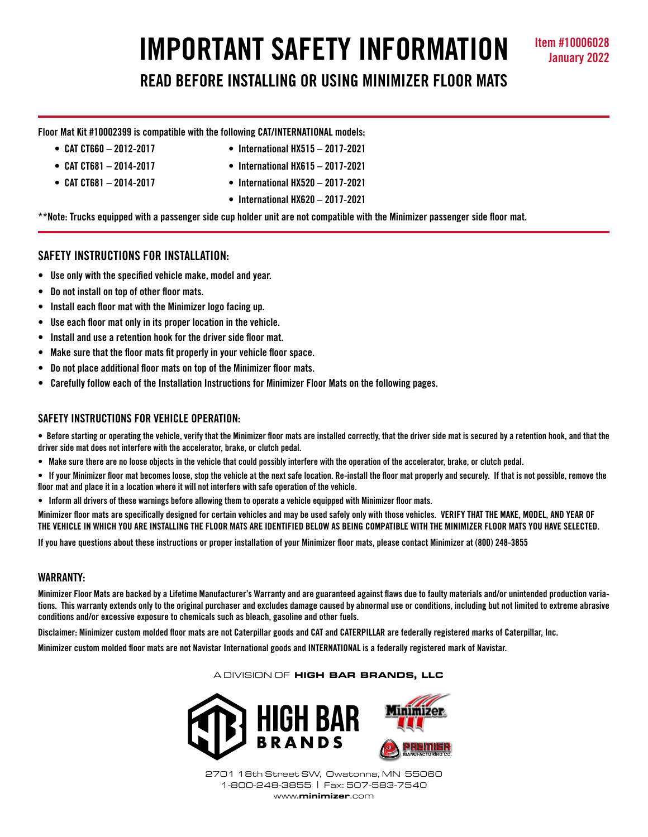# **IMPORTANT SAFETY INFORMATION READ BEFORE INSTALLING OR USING MINIMIZER FLOOR MATS**

**Floor Mat Kit #10002399 is compatible with the following CAT/INTERNATIONAL models:**

- 
- 
- 
- **CAT CT660 2012-2017 International HX515 2017-2021**
- **CAT CT681 2014-2017 International HX615 2017-2021**
- **CAT CT681 2014-2017 International HX520 2017-2021**
	- **International HX620 2017-2021**

**\*\*Note: Trucks equipped with a passenger side cup holder unit are not compatible with the Minimizer passenger side floor mat.**

# **SAFETY INSTRUCTIONS FOR INSTALLATION:**

- **Use only with the specified vehicle make, model and year.**
- **Do not install on top of other floor mats.**
- **Install each floor mat with the Minimizer logo facing up.**
- **Use each floor mat only in its proper location in the vehicle.**
- **Install and use a retention hook for the driver side floor mat.**
- **Make sure that the floor mats fit properly in your vehicle floor space.**
- **Do not place additional floor mats on top of the Minimizer floor mats.**
- **Carefully follow each of the Installation Instructions for Minimizer Floor Mats on the following pages.**

# **SAFETY INSTRUCTIONS FOR VEHICLE OPERATION:**

**• Before starting or operating the vehicle, verify that the Minimizer floor mats are installed correctly, that the driver side mat is secured by a retention hook, and that the driver side mat does not interfere with the accelerator, brake, or clutch pedal.**

- **Make sure there are no loose objects in the vehicle that could possibly interfere with the operation of the accelerator, brake, or clutch pedal.**
- **If your Minimizer floor mat becomes loose, stop the vehicle at the next safe location. Re-install the floor mat properly and securely. If that is not possible, remove the floor mat and place it in a location where it will not interfere with safe operation of the vehicle.**
- **Inform all drivers of these warnings before allowing them to operate a vehicle equipped with Minimizer floor mats.**

**Minimizer floor mats are specifically designed for certain vehicles and may be used safely only with those vehicles. VERIFY THAT THE MAKE, MODEL, AND YEAR OF THE VEHICLE IN WHICH YOU ARE INSTALLING THE FLOOR MATS ARE IDENTIFIED BELOW AS BEING COMPATIBLE WITH THE MINIMIZER FLOOR MATS YOU HAVE SELECTED.** 

**If you have questions about these instructions or proper installation of your Minimizer floor mats, please contact Minimizer at (800) 248-3855**

# **WARRANTY:**

**Minimizer Floor Mats are backed by a Lifetime Manufacturer's Warranty and are guaranteed against flaws due to faulty materials and/or unintended production variations. This warranty extends only to the original purchaser and excludes damage caused by abnormal use or conditions, including but not limited to extreme abrasive conditions and/or excessive exposure to chemicals such as bleach, gasoline and other fuels.**

**Disclaimer: Minimizer custom molded floor mats are not Caterpillar goods and CAT and CATERPILLAR are federally registered marks of Caterpillar, Inc.** 

**Minimizer custom molded floor mats are not Navistar International goods and INTERNATIONAL is a federally registered mark of Navistar.**

### A DIVISION OF HIGH BAR BRANDS, LLC



2701 18th Street SW, Owatonna, MN 55060 1-800-248-3855 | Fax: 507-583-7540 www.minimizer.com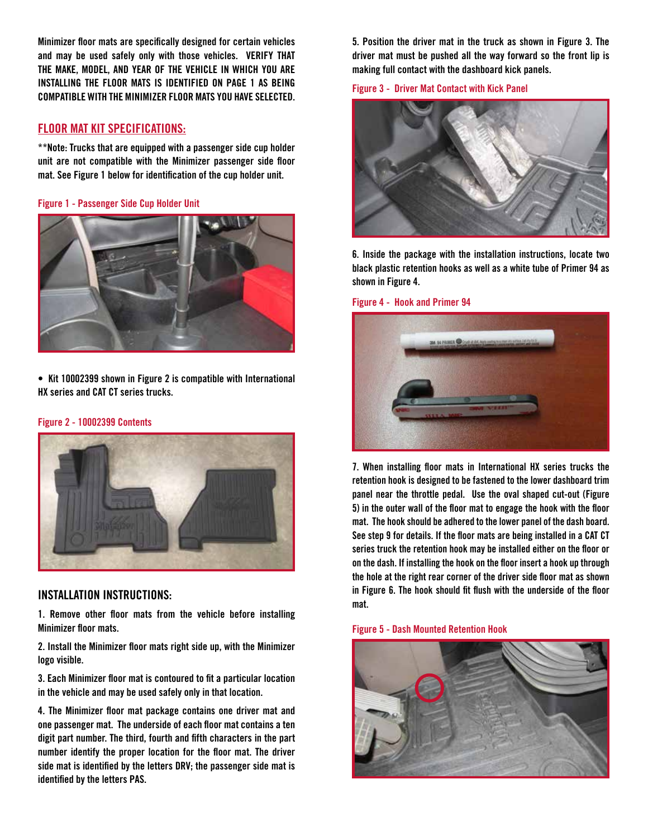**Minimizer floor mats are specifically designed for certain vehicles and may be used safely only with those vehicles. VERIFY THAT THE MAKE, MODEL, AND YEAR OF THE VEHICLE IN WHICH YOU ARE INSTALLING THE FLOOR MATS IS IDENTIFIED ON PAGE 1 AS BEING COMPATIBLE WITH THE MINIMIZER FLOOR MATS YOU HAVE SELECTED.** 

# **FLOOR MAT KIT SPECIFICATIONS:**

**\*\*Note: Trucks that are equipped with a passenger side cup holder unit are not compatible with the Minimizer passenger side floor mat. See Figure 1 below for identification of the cup holder unit.** 

**Figure 1 - Passenger Side Cup Holder Unit**



**• Kit 10002399 shown in Figure 2 is compatible with International HX series and CAT CT series trucks.**

### **Figure 2 - 10002399 Contents**



## **INSTALLATION INSTRUCTIONS:**

**1. Remove other floor mats from the vehicle before installing Minimizer floor mats.**

**2. Install the Minimizer floor mats right side up, with the Minimizer logo visible.**

**3. Each Minimizer floor mat is contoured to fit a particular location in the vehicle and may be used safely only in that location.**

**4. The Minimizer floor mat package contains one driver mat and one passenger mat. The underside of each floor mat contains a ten digit part number. The third, fourth and fifth characters in the part number identify the proper location for the floor mat. The driver side mat is identified by the letters DRV; the passenger side mat is identified by the letters PAS.**

**5. Position the driver mat in the truck as shown in Figure 3. The driver mat must be pushed all the way forward so the front lip is making full contact with the dashboard kick panels.**





**6. Inside the package with the installation instructions, locate two black plastic retention hooks as well as a white tube of Primer 94 as shown in Figure 4.** 

### **Figure 4 - Hook and Primer 94**



**7. When installing floor mats in International HX series trucks the retention hook is designed to be fastened to the lower dashboard trim panel near the throttle pedal. Use the oval shaped cut-out (Figure 5) in the outer wall of the floor mat to engage the hook with the floor mat. The hook should be adhered to the lower panel of the dash board. See step 9 for details. If the floor mats are being installed in a CAT CT series truck the retention hook may be installed either on the floor or on the dash. If installing the hook on the floor insert a hook up through the hole at the right rear corner of the driver side floor mat as shown in Figure 6. The hook should fit flush with the underside of the floor mat.**

**Figure 5 - Dash Mounted Retention Hook**